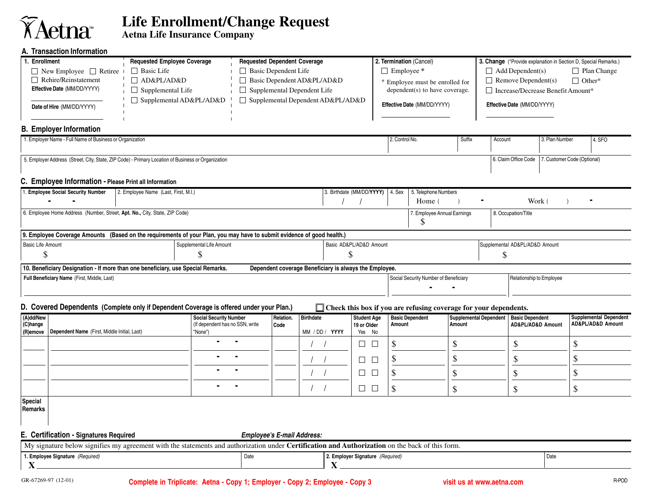## **Aetna**r

## **Life Enrollment/Change Request**

**Aetna Life Insurance Company**

## **A. Transaction Information**

| A. Transaction information                                                                                                                      |                                                                                                                        |                                                        |                             |                                    |                                 |                                                                    |                                               |                                |                               |  |
|-------------------------------------------------------------------------------------------------------------------------------------------------|------------------------------------------------------------------------------------------------------------------------|--------------------------------------------------------|-----------------------------|------------------------------------|---------------------------------|--------------------------------------------------------------------|-----------------------------------------------|--------------------------------|-------------------------------|--|
| 1. Enrollment                                                                                                                                   | <b>Requested Employee Coverage</b>                                                                                     | <b>Requested Dependent Coverage</b>                    |                             | 2. Termination (Cancel)            |                                 | 3. Change (*Provide explanation in Section D, Special Remarks.)    |                                               |                                |                               |  |
|                                                                                                                                                 | $\Box$ Basic Life<br>$\Box$ New Employee $\Box$ Retiree                                                                |                                                        | $\Box$ Basic Dependent Life |                                    | $\Box$ Employee *               |                                                                    | $\Box$ Add Dependent(s)<br>$\Box$ Plan Change |                                |                               |  |
| $\Box$ Rehire/Reinstatement                                                                                                                     | □ AD&PL/AD&D                                                                                                           | □ Basic Dependent AD&PL/AD&D                           |                             |                                    | * Employee must be enrolled for |                                                                    | $\Box$ Remove Dependent(s)<br>$\Box$ Other*   |                                |                               |  |
| Effective Date (MM/DD/YYYY)                                                                                                                     | $\Box$ Supplemental Life                                                                                               | $\Box$ Supplemental Dependent Life                     |                             |                                    | dependent(s) to have coverage.  |                                                                    | $\Box$ Increase/Decrease Benefit Amount*      |                                |                               |  |
|                                                                                                                                                 | $\Box$ Supplemental AD&PL/AD&D                                                                                         | □ Supplemental Dependent AD&PL/AD&D                    |                             |                                    |                                 |                                                                    |                                               |                                |                               |  |
| Date of Hire (MM/DD/YYYY)                                                                                                                       |                                                                                                                        |                                                        |                             |                                    |                                 | Effective Date (MM/DD/YYYY)                                        |                                               | Effective Date (MM/DD/YYYY)    |                               |  |
|                                                                                                                                                 |                                                                                                                        |                                                        |                             |                                    |                                 |                                                                    |                                               |                                |                               |  |
| <b>B. Employer Information</b>                                                                                                                  |                                                                                                                        |                                                        |                             |                                    |                                 |                                                                    |                                               |                                |                               |  |
| 1. Employer Name - Full Name of Business or Organization                                                                                        |                                                                                                                        |                                                        |                             |                                    | 2. Control No.                  | Suffix                                                             | Account                                       | 3. Plan Number                 | 4. SFO                        |  |
|                                                                                                                                                 |                                                                                                                        |                                                        |                             |                                    |                                 |                                                                    |                                               |                                |                               |  |
|                                                                                                                                                 | 5. Employer Address (Street, City, State, ZIP Code) - Primary Location of Business or Organization                     |                                                        |                             |                                    |                                 |                                                                    | 6. Claim Office Code                          |                                | 7. Customer Code (Optional)   |  |
|                                                                                                                                                 |                                                                                                                        |                                                        |                             |                                    |                                 |                                                                    |                                               |                                |                               |  |
| C. Employee Information - Please Print all Information                                                                                          |                                                                                                                        |                                                        |                             |                                    |                                 |                                                                    |                                               |                                |                               |  |
| 1. Employee Social Security Number                                                                                                              | 2. Employee Name (Last, First, M.I.)                                                                                   |                                                        |                             | 3. Birthdate (MM/DD/YYYY)   4. Sex |                                 | 5. Telephone Numbers                                               |                                               |                                |                               |  |
|                                                                                                                                                 |                                                                                                                        |                                                        |                             |                                    |                                 | Home (                                                             |                                               | Work (                         |                               |  |
| 6. Employee Home Address (Number, Street, Apt. No., City, State, ZIP Code)                                                                      |                                                                                                                        |                                                        |                             |                                    |                                 | 7. Employee Annual Earnings                                        | 8. Occupation/Title                           |                                |                               |  |
|                                                                                                                                                 |                                                                                                                        |                                                        |                             |                                    |                                 | \$                                                                 |                                               |                                |                               |  |
|                                                                                                                                                 | 9. Employee Coverage Amounts (Based on the requirements of your Plan, you may have to submit evidence of good health.) |                                                        |                             |                                    |                                 |                                                                    |                                               |                                |                               |  |
| <b>Basic Life Amount</b>                                                                                                                        | Supplemental Life Amount                                                                                               |                                                        |                             | Basic AD&PL/AD&D Amount            |                                 |                                                                    |                                               | Supplemental AD&PL/AD&D Amount |                               |  |
| \$                                                                                                                                              | \$                                                                                                                     |                                                        | \$                          |                                    |                                 | \$                                                                 |                                               |                                |                               |  |
|                                                                                                                                                 | 10. Beneficiary Designation - If more than one beneficiary, use Special Remarks.                                       | Dependent coverage Beneficiary is always the Employee. |                             |                                    |                                 |                                                                    |                                               |                                |                               |  |
| Full Beneficiary Name (First, Middle, Last)                                                                                                     |                                                                                                                        |                                                        |                             |                                    |                                 | Social Security Number of Beneficiary                              |                                               | Relationship to Employee       |                               |  |
|                                                                                                                                                 |                                                                                                                        |                                                        |                             |                                    |                                 |                                                                    |                                               |                                |                               |  |
|                                                                                                                                                 |                                                                                                                        |                                                        |                             |                                    |                                 |                                                                    |                                               |                                |                               |  |
|                                                                                                                                                 | D. Covered Dependents (Complete only if Dependent Coverage is offered under your Plan.)                                |                                                        |                             |                                    |                                 | □ Check this box if you are refusing coverage for your dependents. |                                               |                                |                               |  |
| (A)dd/New                                                                                                                                       | <b>Social Security Number</b>                                                                                          | Relation.                                              | <b>Birthdate</b>            | <b>Student Age</b>                 |                                 | <b>Basic Dependent</b>                                             | <b>Supplemental Dependent</b>                 | <b>Basic Dependent</b>         | <b>Supplemental Dependent</b> |  |
| (C)hange<br>Dependent Name (First, Middle Initial, Last)<br>(R)emove                                                                            | (If dependent has no SSN, write<br>"None")                                                                             | Code                                                   | MM / DD / YYYY              | 19 or Older<br>Yes No              | Amount                          | Amount                                                             |                                               | AD&PL/AD&D Amount              | AD&PL/AD&D Amount             |  |
|                                                                                                                                                 |                                                                                                                        |                                                        |                             |                                    |                                 |                                                                    |                                               |                                |                               |  |
|                                                                                                                                                 |                                                                                                                        |                                                        |                             | $\Box$<br>$\Box$                   | \$                              | \$                                                                 | \$                                            |                                | \$                            |  |
|                                                                                                                                                 |                                                                                                                        |                                                        |                             | $\Box$                             | \$<br>$\Box$                    | \$                                                                 | \$                                            |                                | \$                            |  |
|                                                                                                                                                 |                                                                                                                        |                                                        |                             |                                    |                                 |                                                                    |                                               |                                |                               |  |
|                                                                                                                                                 |                                                                                                                        |                                                        |                             | П                                  | \$<br>$\Box$                    | \$                                                                 | \$                                            |                                | \$                            |  |
|                                                                                                                                                 |                                                                                                                        |                                                        |                             | $\Box$ $\Box$                      | $\mathbb{S}$                    | $\mathsf{\$}$                                                      | \$                                            |                                | \$                            |  |
| Special                                                                                                                                         |                                                                                                                        |                                                        |                             |                                    |                                 |                                                                    |                                               |                                |                               |  |
| Remarks                                                                                                                                         |                                                                                                                        |                                                        |                             |                                    |                                 |                                                                    |                                               |                                |                               |  |
|                                                                                                                                                 |                                                                                                                        |                                                        |                             |                                    |                                 |                                                                    |                                               |                                |                               |  |
|                                                                                                                                                 |                                                                                                                        |                                                        |                             |                                    |                                 |                                                                    |                                               |                                |                               |  |
| E. Certification - Signatures Required<br><b>Employee's E-mail Address:</b>                                                                     |                                                                                                                        |                                                        |                             |                                    |                                 |                                                                    |                                               |                                |                               |  |
| My signature below signifies my agreement with the statements and authorization under Certification and Authorization on the back of this form. |                                                                                                                        |                                                        |                             |                                    |                                 |                                                                    |                                               |                                |                               |  |
| 1. Employee Signature (Required)                                                                                                                | Date<br>2. Employer Signature (Required)                                                                               |                                                        |                             |                                    |                                 |                                                                    | Date                                          |                                |                               |  |
| X                                                                                                                                               | X                                                                                                                      |                                                        |                             |                                    |                                 |                                                                    |                                               |                                |                               |  |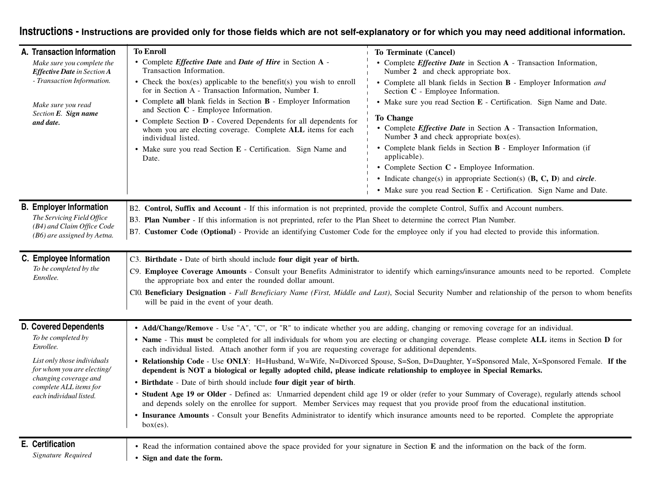## **Instructions - Instructions are provided only for those fields which are not self-explanatory or for which you may need additional information.**

| A. Transaction Information                                                                                                              | <b>To Enroll</b>                                                                                                                                                                                                                                                                                                                                                                                                                                                                          | To Terminate (Cancel)                                                                                                                                                                                                                                                                                                      |  |  |  |  |  |
|-----------------------------------------------------------------------------------------------------------------------------------------|-------------------------------------------------------------------------------------------------------------------------------------------------------------------------------------------------------------------------------------------------------------------------------------------------------------------------------------------------------------------------------------------------------------------------------------------------------------------------------------------|----------------------------------------------------------------------------------------------------------------------------------------------------------------------------------------------------------------------------------------------------------------------------------------------------------------------------|--|--|--|--|--|
| Make sure you complete the<br><b>Effective Date</b> in Section A                                                                        | • Complete <i>Effective Date</i> and <i>Date of Hire</i> in Section A -<br>Transaction Information.                                                                                                                                                                                                                                                                                                                                                                                       | • Complete <i>Effective Date</i> in Section A - Transaction Information,<br>Number 2 and check appropriate box.                                                                                                                                                                                                            |  |  |  |  |  |
| - Transaction Information.                                                                                                              | • Check the box(es) applicable to the benefit(s) you wish to enroll<br>for in Section A - Transaction Information, Number 1.                                                                                                                                                                                                                                                                                                                                                              | • Complete all blank fields in Section B - Employer Information and<br>Section C - Employee Information.<br>• Make sure you read Section E - Certification. Sign Name and Date.<br><b>To Change</b><br>• Complete <i>Effective Date</i> in Section A - Transaction Information,<br>Number 3 and check appropriate box(es). |  |  |  |  |  |
| Make sure you read<br>Section E. Sign name                                                                                              | • Complete all blank fields in Section B - Employer Information<br>and Section C - Employee Information.                                                                                                                                                                                                                                                                                                                                                                                  |                                                                                                                                                                                                                                                                                                                            |  |  |  |  |  |
| and date.                                                                                                                               | • Complete Section <b>D</b> - Covered Dependents for all dependents for<br>whom you are electing coverage. Complete ALL items for each<br>individual listed.                                                                                                                                                                                                                                                                                                                              |                                                                                                                                                                                                                                                                                                                            |  |  |  |  |  |
|                                                                                                                                         | • Make sure you read Section E - Certification. Sign Name and<br>Date.                                                                                                                                                                                                                                                                                                                                                                                                                    | • Complete blank fields in Section <b>B</b> - Employer Information (if<br>applicable).                                                                                                                                                                                                                                     |  |  |  |  |  |
|                                                                                                                                         |                                                                                                                                                                                                                                                                                                                                                                                                                                                                                           | • Complete Section C - Employee Information.                                                                                                                                                                                                                                                                               |  |  |  |  |  |
|                                                                                                                                         |                                                                                                                                                                                                                                                                                                                                                                                                                                                                                           | • Indicate change(s) in appropriate Section(s) $(B, C, D)$ and <i>circle</i> .                                                                                                                                                                                                                                             |  |  |  |  |  |
|                                                                                                                                         |                                                                                                                                                                                                                                                                                                                                                                                                                                                                                           | • Make sure you read Section E - Certification. Sign Name and Date.                                                                                                                                                                                                                                                        |  |  |  |  |  |
| The Servicing Field Office<br>(B4) and Claim Office Code<br>(B6) are assigned by Aetna.                                                 | B3. Plan Number - If this information is not preprinted, refer to the Plan Sheet to determine the correct Plan Number.<br>B7. Customer Code (Optional) - Provide an identifying Customer Code for the employee only if you had elected to provide this information.                                                                                                                                                                                                                       |                                                                                                                                                                                                                                                                                                                            |  |  |  |  |  |
| C. Employee Information<br>To be completed by the<br>Enrollee.                                                                          | C3. Birthdate - Date of birth should include four digit year of birth.<br>C9. Employee Coverage Amounts - Consult your Benefits Administrator to identify which earnings/insurance amounts need to be reported. Complete<br>the appropriate box and enter the rounded dollar amount.<br>Cl0. Beneficiary Designation - Full Beneficiary Name (First, Middle and Last), Social Security Number and relationship of the person to whom benefits<br>will be paid in the event of your death. |                                                                                                                                                                                                                                                                                                                            |  |  |  |  |  |
| <b>D. Covered Dependents</b>                                                                                                            | • Add/Change/Remove - Use "A", "C", or "R" to indicate whether you are adding, changing or removing coverage for an individual.                                                                                                                                                                                                                                                                                                                                                           |                                                                                                                                                                                                                                                                                                                            |  |  |  |  |  |
| To be completed by<br>Enrollee.                                                                                                         | • Name - This must be completed for all individuals for whom you are electing or changing coverage. Please complete ALL items in Section D for<br>each individual listed. Attach another form if you are requesting coverage for additional dependents.                                                                                                                                                                                                                                   |                                                                                                                                                                                                                                                                                                                            |  |  |  |  |  |
| List only those individuals<br>for whom you are electing/<br>changing coverage and<br>complete ALL items for<br>each individual listed. | • Relationship Code - Use ONLY: H=Husband, W=Wife, N=Divorced Spouse, S=Son, D=Daughter, Y=Sponsored Male, X=Sponsored Female. If the<br>dependent is NOT a biological or legally adopted child, please indicate relationship to employee in Special Remarks.<br>• Birthdate - Date of birth should include four digit year of birth.                                                                                                                                                     |                                                                                                                                                                                                                                                                                                                            |  |  |  |  |  |
|                                                                                                                                         | • Student Age 19 or Older - Defined as: Unmarried dependent child age 19 or older (refer to your Summary of Coverage), regularly attends school<br>and depends solely on the enrollee for support. Member Services may request that you provide proof from the educational institution.                                                                                                                                                                                                   |                                                                                                                                                                                                                                                                                                                            |  |  |  |  |  |
|                                                                                                                                         | • Insurance Amounts - Consult your Benefits Administrator to identify which insurance amounts need to be reported. Complete the appropriate<br>box(es).                                                                                                                                                                                                                                                                                                                                   |                                                                                                                                                                                                                                                                                                                            |  |  |  |  |  |
| E. Certification                                                                                                                        | • Read the information contained above the space provided for your signature in Section E and the information on the back of the form.                                                                                                                                                                                                                                                                                                                                                    |                                                                                                                                                                                                                                                                                                                            |  |  |  |  |  |
| Signature Required                                                                                                                      | Sign and date the form.                                                                                                                                                                                                                                                                                                                                                                                                                                                                   |                                                                                                                                                                                                                                                                                                                            |  |  |  |  |  |